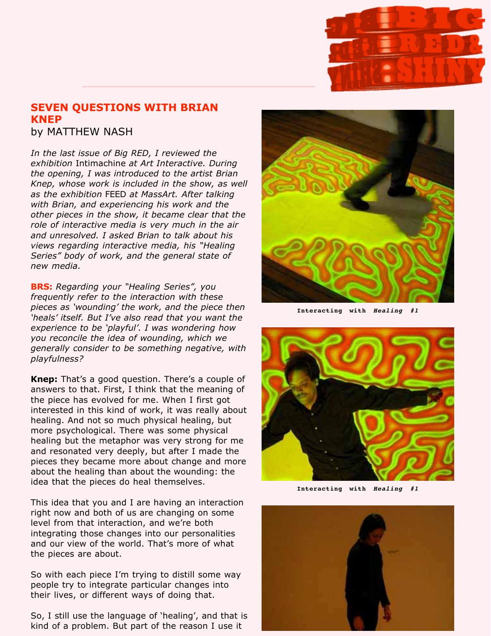

## **SEVEN QUESTIONS WITH BRIAN KNEP**

by MATTHEW NASH

exhibition Intimachine at Art Interactive. During as the exhibition FEED at MassArt. After talking *In the last issue of Big RED, I reviewed the the opening, I was introduced to the artist Brian Knep, whose work is included in the show, as well with Brian, and experiencing his work and the other pieces in the show, it became clear that the role of interactive media is very much in the air and unresolved. I asked Brian to talk about his views regarding interactive media, his "Healing Series" body of work, and the general state of new media.*

**BRS:** *Regarding your "Healing Series", you frequently refer to the interaction with these pieces as 'wounding' the work, and the piece then 'heals' itself. But I've also read that you want the experience to be 'playful'. I was wondering how you reconcile the idea of wounding, which we generally consider to be something negative, with playfulness?*

**Knep:** That's a good question. There's a couple of answers to that. First, I think that the meaning of the piece has evolved for me. When I first got interested in this kind of work, it was really about healing. And not so much physical healing, but more psychological. There was some physical healing but the metaphor was very strong for me and resonated very deeply, but after I made the pieces they became more about change and more about the healing than about the wounding: the idea that the pieces do heal themselves.

This idea that you and I are having an interaction right now and both of us are changing on some level from that interaction, and we're both integrating those changes into our personalities and our view of the world. That's more of what the pieces are about.

So with each piece I'm trying to distill some way people try to integrate particular changes into their lives, or different ways of doing that.

So, I still use the language of 'healing', and that is kind of a problem. But part of the reason I use it



**Interacting with Healing #1**



**Interacting with Healing #1**

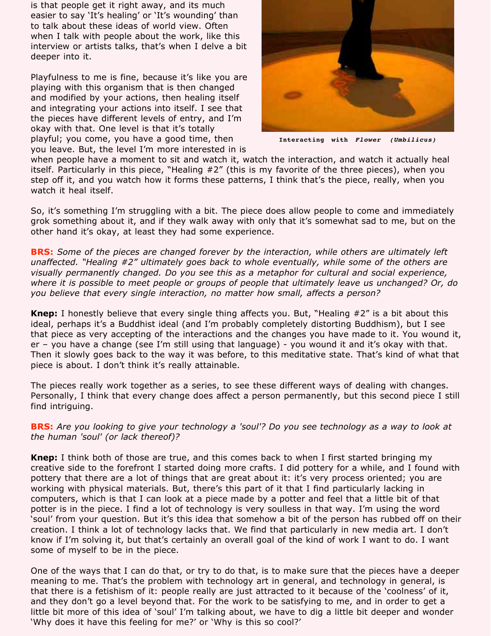is that people get it right away, and its much easier to say 'It's healing' or 'It's wounding' than to talk about these ideas of world view. Often when I talk with people about the work, like this interview or artists talks, that's when I delve a bit deeper into it.

Playfulness to me is fine, because it's like you are playing with this organism that is then changed and modified by your actions, then healing itself and integrating your actions into itself. I see that the pieces have different levels of entry, and I'm okay with that. One level is that it's totally playful; you come, you have a good time, then you leave. But, the level I'm more interested in is



**Interacting with Flower (Umbilicus)**

when people have a moment to sit and watch it, watch the interaction, and watch it actually heal itself. Particularly in this piece, "Healing #2" (this is my favorite of the three pieces), when you step off it, and you watch how it forms these patterns, I think that's the piece, really, when you watch it heal itself.

So, it's something I'm struggling with a bit. The piece does allow people to come and immediately grok something about it, and if they walk away with only that it's somewhat sad to me, but on the other hand it's okay, at least they had some experience.

**BRS:** *Some of the pieces are changed forever by the interaction, while others are ultimately left unaffected. "Healing #2" ultimately goes back to whole eventually, while some of the others are visually permanently changed. Do you see this as a metaphor for cultural and social experience, where it is possible to meet people or groups of people that ultimately leave us unchanged? Or, do you believe that every single interaction, no matter how small, affects a person?*

**Knep:** I honestly believe that every single thing affects you. But, "Healing #2" is a bit about this ideal, perhaps it's a Buddhist ideal (and I'm probably completely distorting Buddhism), but I see that piece as very accepting of the interactions and the changes you have made to it. You wound it, er – you have a change (see I'm still using that language) - you wound it and it's okay with that. Then it slowly goes back to the way it was before, to this meditative state. That's kind of what that piece is about. I don't think it's really attainable.

The pieces really work together as a series, to see these different ways of dealing with changes. Personally, I think that every change does affect a person permanently, but this second piece I still find intriguing.

**BRS:** *Are you looking to give your technology a 'soul'? Do you see technology as a way to look at the human 'soul' (or lack thereof)?*

**Knep:** I think both of those are true, and this comes back to when I first started bringing my creative side to the forefront I started doing more crafts. I did pottery for a while, and I found with pottery that there are a lot of things that are great about it: it's very process oriented; you are working with physical materials. But, there's this part of it that I find particularly lacking in computers, which is that I can look at a piece made by a potter and feel that a little bit of that potter is in the piece. I find a lot of technology is very soulless in that way. I'm using the word 'soul' from your question. But it's this idea that somehow a bit of the person has rubbed off on their creation. I think a lot of technology lacks that. We find that particularly in new media art. I don't know if I'm solving it, but that's certainly an overall goal of the kind of work I want to do. I want some of myself to be in the piece.

One of the ways that I can do that, or try to do that, is to make sure that the pieces have a deeper meaning to me. That's the problem with technology art in general, and technology in general, is that there is a fetishism of it: people really are just attracted to it because of the 'coolness' of it, and they don't go a level beyond that. For the work to be satisfying to me, and in order to get a little bit more of this idea of 'soul' I'm talking about, we have to dig a little bit deeper and wonder 'Why does it have this feeling for me?' or 'Why is this so cool?'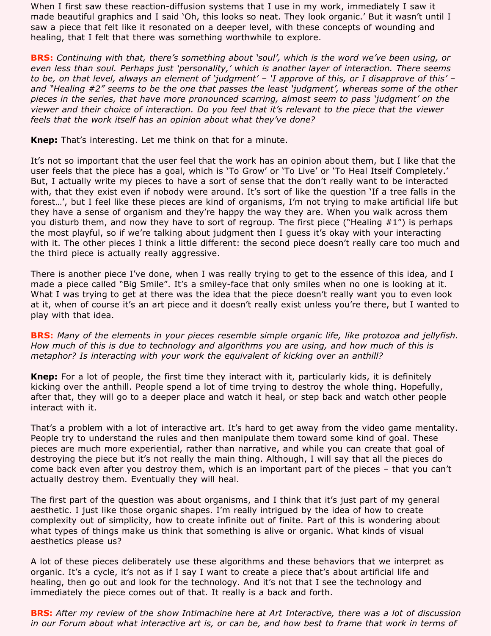When I first saw these reaction-diffusion systems that I use in my work, immediately I saw it made beautiful graphics and I said 'Oh, this looks so neat. They look organic.' But it wasn't until I saw a piece that felt like it resonated on a deeper level, with these concepts of wounding and healing, that I felt that there was something worthwhile to explore.

**BRS:** *Continuing with that, there's something about 'soul', which is the word we've been using, or even less than soul. Perhaps just 'personality,' which is another layer of interaction. There seems to be, on that level, always an element of 'judgment' – 'I approve of this, or I disapprove of this' – and "Healing #2" seems to be the one that passes the least 'judgment', whereas some of the other pieces in the series, that have more pronounced scarring, almost seem to pass 'judgment' on the viewer and their choice of interaction. Do you feel that it's relevant to the piece that the viewer feels that the work itself has an opinion about what they've done?*

Knep: That's interesting. Let me think on that for a minute.

It's not so important that the user feel that the work has an opinion about them, but I like that the user feels that the piece has a goal, which is 'To Grow' or 'To Live' or 'To Heal Itself Completely.' But, I actually write my pieces to have a sort of sense that the don't really want to be interacted with, that they exist even if nobody were around. It's sort of like the question 'If a tree falls in the forest…', but I feel like these pieces are kind of organisms, I'm not trying to make artificial life but they have a sense of organism and they're happy the way they are. When you walk across them you disturb them, and now they have to sort of regroup. The first piece ("Healing  $#1"$ ) is perhaps the most playful, so if we're talking about judgment then I guess it's okay with your interacting with it. The other pieces I think a little different: the second piece doesn't really care too much and the third piece is actually really aggressive.

There is another piece I've done, when I was really trying to get to the essence of this idea, and I made a piece called "Big Smile". It's a smiley-face that only smiles when no one is looking at it. What I was trying to get at there was the idea that the piece doesn't really want you to even look at it, when of course it's an art piece and it doesn't really exist unless you're there, but I wanted to play with that idea.

**BRS:** *Many of the elements in your pieces resemble simple organic life, like protozoa and jellyfish. How much of this is due to technology and algorithms you are using, and how much of this is metaphor? Is interacting with your work the equivalent of kicking over an anthill?*

**Knep:** For a lot of people, the first time they interact with it, particularly kids, it is definitely kicking over the anthill. People spend a lot of time trying to destroy the whole thing. Hopefully, after that, they will go to a deeper place and watch it heal, or step back and watch other people interact with it.

That's a problem with a lot of interactive art. It's hard to get away from the video game mentality. People try to understand the rules and then manipulate them toward some kind of goal. These pieces are much more experiential, rather than narrative, and while you can create that goal of destroying the piece but it's not really the main thing. Although, I will say that all the pieces do come back even after you destroy them, which is an important part of the pieces – that you can't actually destroy them. Eventually they will heal.

The first part of the question was about organisms, and I think that it's just part of my general aesthetic. I just like those organic shapes. I'm really intrigued by the idea of how to create complexity out of simplicity, how to create infinite out of finite. Part of this is wondering about what types of things make us think that something is alive or organic. What kinds of visual aesthetics please us?

A lot of these pieces deliberately use these algorithms and these behaviors that we interpret as organic. It's a cycle, it's not as if I say I want to create a piece that's about artificial life and healing, then go out and look for the technology. And it's not that I see the technology and immediately the piece comes out of that. It really is a back and forth.

**BRS:** After my review of the show Intimachine here at Art Interactive, there was a lot of discussion *in our Forum about what interactive art is, or can be, and how best to frame that work in terms of*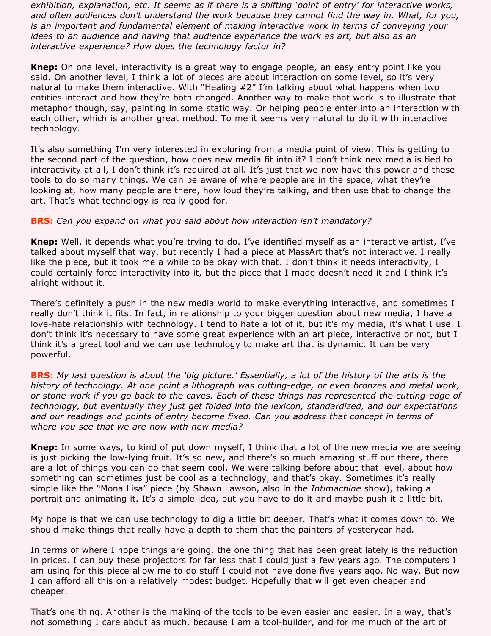*exhibition, explanation, etc. It seems as if there is a shifting 'point of entry' for interactive works, and often audiences don't understand the work because they cannot find the way in. What, for you, is an important and fundamental element of making interactive work in terms of conveying your ideas to an audience and having that audience experience the work as art, but also as an interactive experience? How does the technology factor in?*

**Knep:** On one level, interactivity is a great way to engage people, an easy entry point like you said. On another level, I think a lot of pieces are about interaction on some level, so it's very natural to make them interactive. With "Healing #2" I'm talking about what happens when two entities interact and how they're both changed. Another way to make that work is to illustrate that metaphor though, say, painting in some static way. Or helping people enter into an interaction with each other, which is another great method. To me it seems very natural to do it with interactive technology.

It's also something I'm very interested in exploring from a media point of view. This is getting to the second part of the question, how does new media fit into it? I don't think new media is tied to interactivity at all, I don't think it's required at all. It's just that we now have this power and these tools to do so many things. We can be aware of where people are in the space, what they're looking at, how many people are there, how loud they're talking, and then use that to change the art. That's what technology is really good for.

## **BRS:** *Can you expand on what you said about how interaction isn't mandatory?*

 Well, it depends what you're trying to do. I've identified myself as an interactive artist, I've **Knep:** talked about myself that way, but recently I had a piece at MassArt that's not interactive. I really like the piece, but it took me a while to be okay with that. I don't think it needs interactivity, I could certainly force interactivity into it, but the piece that I made doesn't need it and I think it's alright without it.

There's definitely a push in the new media world to make everything interactive, and sometimes I really don't think it fits. In fact, in relationship to your bigger question about new media, I have a love-hate relationship with technology. I tend to hate a lot of it, but it's my media, it's what I use. I don't think it's necessary to have some great experience with an art piece, interactive or not, but I think it's a great tool and we can use technology to make art that is dynamic. It can be very powerful.

**BRS:** *My last question is about the 'big picture.' Essentially, a lot of the history of the arts is the history of technology. At one point a lithograph was cutting-edge, or even bronzes and metal work, or stone-work if you go back to the caves. Each of these things has represented the cutting-edge of technology, but eventually they just get folded into the lexicon, standardized, and our expectations*  and our readings and points of entry become fixed. Can you address that concept in terms of *where you see that we are now with new media?*

**Knep:** In some ways, to kind of put down myself, I think that a lot of the new media we are seeing is just picking the low-lying fruit. It's so new, and there's so much amazing stuff out there, there are a lot of things you can do that seem cool. We were talking before about that level, about how something can sometimes just be cool as a technology, and that's okay. Sometimes it's really simple like the "Mona Lisa" piece (by Shawn Lawson, also in the *Intimachine* show), taking a portrait and animating it. It's a simple idea, but you have to do it and maybe push it a little bit.

My hope is that we can use technology to dig a little bit deeper. That's what it comes down to. We should make things that really have a depth to them that the painters of yesteryear had.

In terms of where I hope things are going, the one thing that has been great lately is the reduction in prices. I can buy these projectors for far less that I could just a few years ago. The computers I am using for this piece allow me to do stuff I could not have done five years ago. No way. But now I can afford all this on a relatively modest budget. Hopefully that will get even cheaper and cheaper.

That's one thing. Another is the making of the tools to be even easier and easier. In a way, that's not something I care about as much, because I am a tool-builder, and for me much of the art of